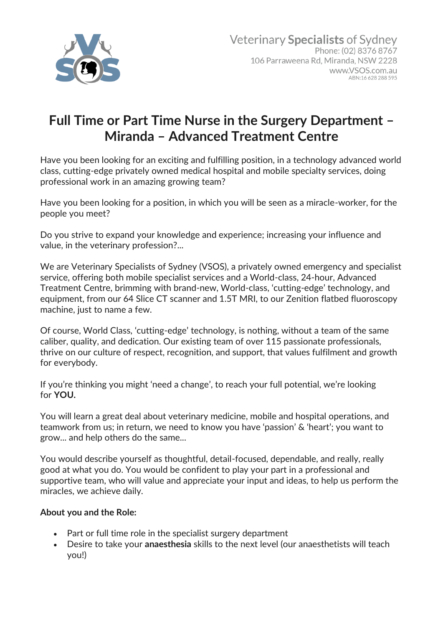

## **Full Time or Part Time Nurse in the Surgery Department – Miranda – Advanced Treatment Centre**

Have you been looking for an exciting and fulfilling position, in a technology advanced world class, cutting-edge privately owned medical hospital and mobile specialty services, doing professional work in an amazing growing team?

Have you been looking for a position, in which you will be seen as a miracle-worker, for the people you meet?

Do you strive to expand your knowledge and experience; increasing your influence and value, in the veterinary profession?...

We are Veterinary Specialists of Sydney (VSOS), a privately owned emergency and specialist service, offering both mobile specialist services and a World-class, 24-hour, Advanced Treatment Centre, brimming with brand-new, World-class, 'cutting-edge' technology, and equipment, from our 64 Slice CT scanner and 1.5T MRI, to our Zenition flatbed fluoroscopy machine, just to name a few.

Of course, World Class, 'cutting-edge' technology, is nothing, without a team of the same caliber, quality, and dedication. Our existing team of over 115 passionate professionals, thrive on our culture of respect, recognition, and support, that values fulfilment and growth for everybody.

If you're thinking you might 'need a change', to reach your full potential, we're looking for **YOU.**

You will learn a great deal about veterinary medicine, mobile and hospital operations, and teamwork from us; in return, we need to know you have 'passion' & 'heart'; you want to grow... and help others do the same...

You would describe yourself as thoughtful, detail-focused, dependable, and really, really good at what you do. You would be confident to play your part in a professional and supportive team, who will value and appreciate your input and ideas, to help us perform the miracles, we achieve daily.

## **About you and the Role:**

- Part or full time role in the specialist surgery department
- Desire to take your **anaesthesia** skills to the next level (our anaesthetists will teach you!)